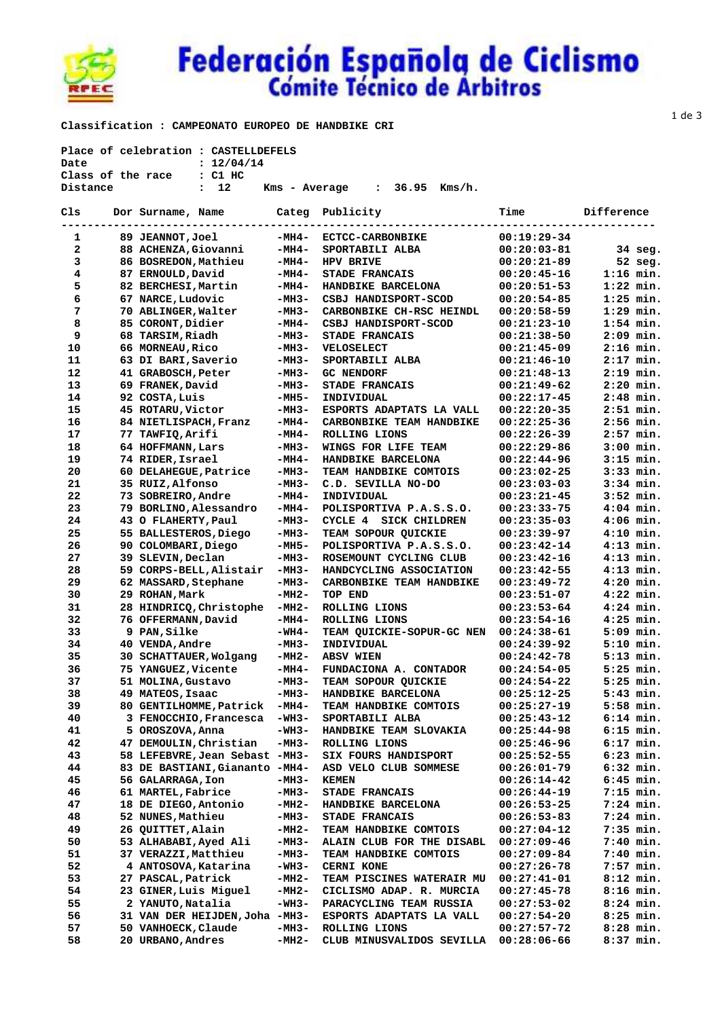

## Federación Española de Ciclismo

 **Classification : CAMPEONATO EUROPEO DE HANDBIKE CRI** 

| Place of celebration : CASTELLDEFELS |  |                                             |         |                                      |                 |             |
|--------------------------------------|--|---------------------------------------------|---------|--------------------------------------|-----------------|-------------|
| Date                                 |  | : 12/04/14                                  |         |                                      |                 |             |
|                                      |  | Class of the race : C1 HC                   |         |                                      |                 |             |
| Distance                             |  | : 12                                        |         | Kms - Average : 36.95 Kms/h.         |                 |             |
|                                      |  |                                             |         |                                      |                 |             |
| Cls                                  |  | Dor Surname, Name Categ Publicity           |         |                                      | Time Difference |             |
| ---------------                      |  | ---------------------------                 |         | ------------------------------------ |                 |             |
| 1                                    |  | 89 JEANNOT,Joel -MH4- ECTCC-CARBONBIKE      |         |                                      | $00:19:29-34$   |             |
| $\mathbf{2}$                         |  | 88 ACHENZA, Giovanni - MH4- SPORTABILI ALBA |         |                                      | $00:20:03-81$   | 34 seg.     |
| 3                                    |  | 86 BOSREDON, Mathieu                        |         | -MH4- HPV BRIVE                      | $00:20:21-89$   | 52 seg.     |
| 4                                    |  | 87 ERNOULD, David                           | -MH4-   | <b>STADE FRANCAIS</b>                | $00:20:45-16$   | $1:16$ min. |
| 5                                    |  | 82 BERCHESI, Martin                         | -MH4-   | <b>HANDBIKE BARCELONA</b>            | $00:20:51-53$   | $1:22$ min. |
| 6                                    |  | 67 NARCE, Ludovic                           | -MH3-   | CSBJ HANDISPORT-SCOD                 | $00:20:54-85$   | $1:25$ min. |
| 7                                    |  | 70 ABLINGER, Walter                         | -мнз-   | CARBONBIKE CH-RSC HEINDL             | $00:20:58-59$   | $1:29$ min. |
| 8                                    |  | 85 CORONT, Didier                           | -MH4-   | CSBJ HANDISPORT-SCOD                 | $00:21:23-10$   | $1:54$ min. |
| 9                                    |  | 68 TARSIM, Riadh                            | -мнз-   | <b>STADE FRANCAIS</b>                | $00:21:38-50$   | $2:09$ min. |
| 10                                   |  | 66 MORNEAU, Rico                            | -мнз-   | <b>VELOSELECT</b>                    | $00:21:45-09$   | $2:16$ min. |
| 11                                   |  | 63 DI BARI,Saverio                          | -мнз-   | SPORTABILI ALBA                      | $00:21:46-10$   | $2:17$ min. |
| 12                                   |  | 41 GRABOSCH, Peter                          | -мнз-   | <b>GC NENDORF</b>                    | $00:21:48-13$   | $2:19$ min. |
| 13                                   |  | 69 FRANEK, David                            | -MH3-   | <b>STADE FRANCAIS</b>                | $00:21:49-62$   | $2:20$ min. |
| 14                                   |  | 92 COSTA, Luis                              | -MH5-   | INDIVIDUAL                           | $00:22:17-45$   | $2:48$ min. |
| 15                                   |  | 45 ROTARU, Victor                           | -MH3-   | ESPORTS ADAPTATS LA VALL             | $00:22:20-35$   | $2:51$ min. |
| 16                                   |  | 84 NIETLISPACH, Franz                       | -MH4-   | CARBONBIKE TEAM HANDBIKE             | $00:22:25-36$   | $2:56$ min. |
| 17                                   |  | 77 TAWFIQ,Arifi                             | -MH4-   | ROLLING LIONS                        | $00:22:26-39$   | $2:57$ min. |
| 18                                   |  | 64 HOFFMANN, Lars                           | -MH3-   | WINGS FOR LIFE TEAM                  | $00:22:29-86$   | $3:00$ min. |
| 19                                   |  | 74 RIDER, Israel                            | -MH4-   | HANDBIKE BARCELONA                   | 00:22:44-96     | $3:15$ min. |
| 20                                   |  | 60 DELAHEGUE, Patrice                       | -MH3-   | TEAM HANDBIKE COMTOIS                | $00:23:02-25$   | $3:33$ min. |
| 21                                   |  | 35 RUIZ, Alfonso                            | -MH3-   | C.D. SEVILLA NO-DO                   | $00:23:03-03$   | $3:34$ min. |
| 22                                   |  | 73 SOBREIRO, Andre                          | -MH4-   | INDIVIDUAL                           | $00:23:21-45$   | $3:52$ min. |
| 23                                   |  | 79 BORLINO, Alessandro                      | -MH4-   | POLISPORTIVA P.A.S.S.O.              | $00:23:33-75$   | $4:04$ min. |
| 24                                   |  | 43 O FLAHERTY, Paul                         | -MH3-   | CYCLE 4 SICK CHILDREN                | $00:23:35-03$   | $4:06$ min. |
| 25                                   |  | 55 BALLESTEROS, Diego                       | -MH3-   | TEAM SOPOUR QUICKIE                  | $00:23:39-97$   | $4:10$ min. |
| 26                                   |  | 90 COLOMBARI, Diego                         | -MH5-   | POLISPORTIVA P.A.S.S.O.              | $00:23:42-14$   | $4:13$ min. |
| 27                                   |  | 39 SLEVIN, Declan                           | -MH3-   | ROSEMOUNT CYCLING CLUB               | $00:23:42-16$   | $4:13$ min. |
| 28                                   |  | 59 CORPS-BELL, Alistair                     | $-MH3-$ | HANDCYCLING ASSOCIATION              | $00:23:42-55$   | $4:13$ min. |
| 29                                   |  | 62 MASSARD, Stephane                        | -MH3-   | CARBONBIKE TEAM HANDBIKE             | $00:23:49-72$   | $4:20$ min. |
| 30                                   |  | 29 ROHAN, Mark                              | -MH2-   | TOP END                              | $00:23:51-07$   | $4:22$ min. |
| 31                                   |  | 28 HINDRICQ, Christophe -MH2-               |         | ROLLING LIONS                        | $00:23:53-64$   | $4:24$ min. |
| 32                                   |  | 76 OFFERMANN, David                         | -MH4-   | ROLLING LIONS                        | $00:23:54-16$   | $4:25$ min. |
| 33                                   |  | 9 PAN, Silke                                | -WH4-   | TEAM QUICKIE-SOPUR-GC NEN            | $00:24:38-61$   | $5:09$ min. |
| 34                                   |  | 40 VENDA, Andre                             | -MH3-   | INDIVIDUAL                           | 00:24:39-92     | $5:10$ min. |
| 35                                   |  | 30 SCHATTAUER, Wolgang                      | -MH2-   | <b>ABSV WIEN</b>                     | 00:24:42-78     | $5:13$ min. |
| 36                                   |  | 75 YANGUEZ,Vicente                          | -MH4-   | FUNDACIONA A. CONTADOR               | 00:24:54-05     | $5:25$ min. |
| 37                                   |  | 51 MOLINA, Gustavo                          | -MH3-   | TEAM SOPOUR QUICKIE                  | $00:24:54-22$   | $5:25$ min. |
| 38                                   |  | 49 MATEOS, Isaac                            | -мнз-   | HANDBIKE BARCELONA                   | $00:25:12-25$   | $5:43$ min. |
| 39                                   |  | 80 GENTILHOMME, Patrick                     | $-MH4-$ | <b>TEAM HANDBIKE COMTOIS</b>         | $00:25:27-19$   | $5:58$ min. |
| 40                                   |  | 3 FENOCCHIO, Francesca                      | $-WH3-$ | SPORTABILI ALBA                      | $00:25:43-12$   | $6:14$ min. |
| 41                                   |  | 5 OROSZOVA,Anna                             | -WH3-   | HANDBIKE TEAM SLOVAKIA               | $00:25:44-98$   | $6:15$ min. |
| 42                                   |  | 47 DEMOULIN, Christian                      | -мнз-   | ROLLING LIONS                        | $00:25:46-96$   | $6:17$ min. |
| 43                                   |  | 58 LEFEBVRE, Jean Sebast -MH3-              |         | SIX FOURS HANDISPORT                 | $00:25:52-55$   | $6:23$ min. |
| 44                                   |  | 83 DE BASTIANI, Giananto -MH4-              |         | ASD VELO CLUB SOMMESE                | $00:26:01-79$   | $6:32$ min. |
| 45                                   |  | 56 GALARRAGA, Ion                           | -MH3-   | <b>KEMEN</b>                         | $00:26:14-42$   | $6:45$ min. |
| 46                                   |  | 61 MARTEL, Fabrice                          | -мнз-   | <b>STADE FRANCAIS</b>                | $00:26:44-19$   | 7:15 min.   |
| 47                                   |  | 18 DE DIEGO, Antonio                        | -MH2-   | HANDBIKE BARCELONA                   |                 | $7:24$ min. |
|                                      |  |                                             |         |                                      | $00:26:53-25$   |             |
| 48                                   |  | 52 NUNES, Mathieu                           | -MH3-   | STADE FRANCAIS                       | $00:26:53-83$   | $7:24$ min. |
| 49                                   |  | 26 QUITTET, Alain                           | -MH2-   | <b>TEAM HANDBIKE COMTOIS</b>         | $00:27:04-12$   | $7:35$ min. |
| 50                                   |  | 53 ALHABABI, Ayed Ali                       | -MH3-   | ALAIN CLUB FOR THE DISABL            | $00:27:09-46$   | 7:40 min.   |
| 51                                   |  | 37 VERAZZI, Matthieu                        | -мнз-   | <b>TEAM HANDBIKE COMTOIS</b>         | $00:27:09-84$   | 7:40 min.   |
| 52                                   |  | 4 ANTOSOVA,Katarina                         | -WH3-   | <b>CERNI KONE</b>                    | $00:27:26-78$   | 7:57 min.   |
| 53                                   |  | 27 PASCAL, Patrick                          | -MH2-   | <b>TEAM PISCINES WATERAIR MU</b>     | $00:27:41-01$   | $8:12$ min. |
| 54                                   |  | 23 GINER, Luis Miguel                       | -MH2-   | CICLISMO ADAP. R. MURCIA             | $00:27:45-78$   | $8:16$ min. |
| 55                                   |  | 2 YANUTO,Natalia                            | -WH3-   | PARACYCLING TEAM RUSSIA              | $00:27:53-02$   | $8:24$ min. |
| 56                                   |  | 31 VAN DER HEIJDEN, Joha -MH3-              |         | ESPORTS ADAPTATS LA VALL             | $00:27:54-20$   | $8:25$ min. |
| 57                                   |  | 50 VANHOECK, Claude                         | -мнз-   | ROLLING LIONS                        | $00:27:57-72$   | $8:28$ min. |
| 58                                   |  | 20 URBANO, Andres                           | -MH2-   | CLUB MINUSVALIDOS SEVILLA            | $00:28:06-66$   | $8:37$ min. |

1 de 3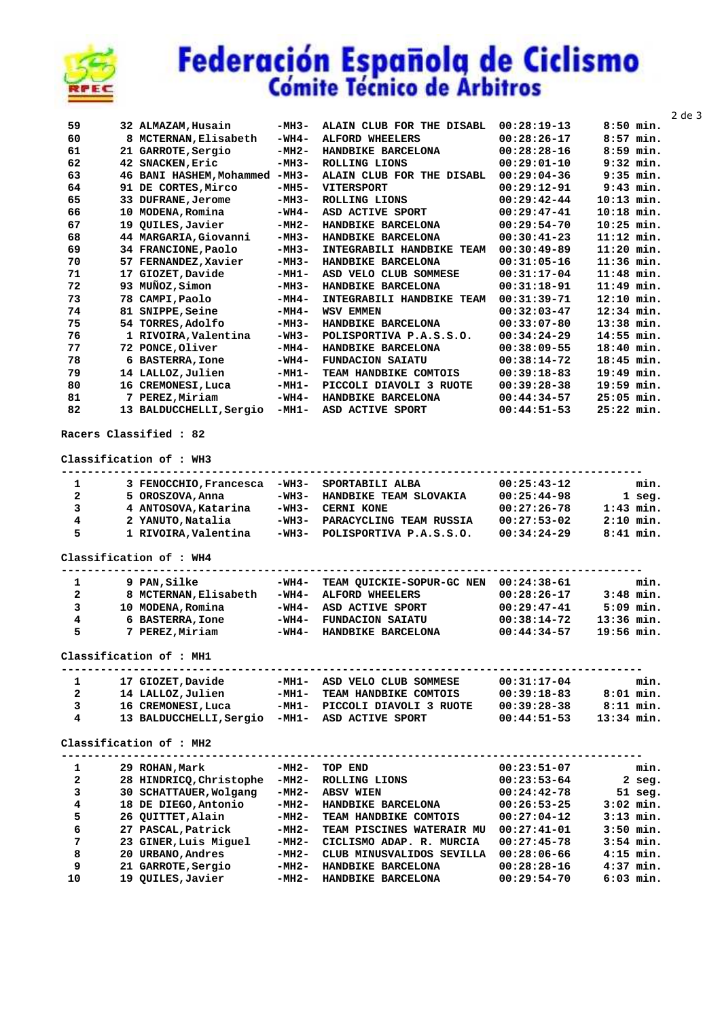

21 GARROTE, Sergio

19 QUILES, Javier

20 URBANO, Andres

 $\bf 8$ 9

 $10$ 

## Federación Española de Ciclismo

|                         |                                                |                |                                             |                                |                              |           | $2$ de $3$ |
|-------------------------|------------------------------------------------|----------------|---------------------------------------------|--------------------------------|------------------------------|-----------|------------|
| 59                      | 32 ALMAZAM, Husain                             | $-MH3-$        | ALAIN CLUB FOR THE DISABL 00:28:19-13       |                                | $8:50$ min.                  |           |            |
| 60                      | 8 MCTERNAN, Elisabeth                          | $-WH4-$        | <b>ALFORD WHEELERS</b>                      | $00:28:26-17$                  | $8:57$ min.                  |           |            |
| 61                      | 21 GARROTE, Sergio                             | -MH2-          | HANDBIKE BARCELONA                          | $00:28:28-16$                  | $8:59$ min.                  |           |            |
| 62                      | 42 SNACKEN, Eric                               | $-MH3-$        | ROLLING LIONS                               | $00:29:01-10$                  | $9:32$ min.                  |           |            |
| 63                      | 46 BANI HASHEM, Mohammed -MH3-                 |                | ALAIN CLUB FOR THE DISABL                   | $00:29:04-36$                  | $9:35$ min.                  |           |            |
| 64                      | 91 DE CORTES, Mirco                            | $-MH5-$        | <b>VITERSPORT</b>                           | $00:29:12-91$                  | $9:43$ min.                  |           |            |
| 65                      | 33 DUFRANE, Jerome                             | $-MH3-$        | ROLLING LIONS                               | $00:29:42-44$                  | $10:13$ min.                 |           |            |
| 66<br>67                | 10 MODENA, Romina<br>19 QUILES, Javier         | -WH4-<br>-MH2- | ASD ACTIVE SPORT                            | $00:29:47-41$<br>$00:29:54-70$ | $10:18$ min.<br>$10:25$ min. |           |            |
| 68                      | 44 MARGARIA, Giovanni                          | -MH3-          | HANDBIKE BARCELONA<br>HANDBIKE BARCELONA    | $00:30:41-23$                  | $11:12$ min.                 |           |            |
| 69                      | 34 FRANCIONE, Paolo                            | $-MH3-$        | INTEGRABILI HANDBIKE TEAM                   | $00:30:49-89$                  | $11:20$ min.                 |           |            |
| 70                      | 57 FERNANDEZ, Xavier                           | $-MH3-$        | HANDBIKE BARCELONA                          | 00:31:05-16                    | $11:36$ min.                 |           |            |
| 71                      | 17 GIOZET, Davide                              | -MH1-          | ASD VELO CLUB SOMMESE                       | $00:31:17-04$                  | $11:48$ min.                 |           |            |
| 72                      | 93 MUÑOZ, Simon                                | -MH3-          | HANDBIKE BARCELONA                          | $00:31:18-91$                  | $11:49$ min.                 |           |            |
| 73                      | 78 CAMPI, Paolo                                | -MH4-          | INTEGRABILI HANDBIKE TEAM                   | $00:31:39-71$                  | $12:10$ min.                 |           |            |
| 74                      | 81 SNIPPE, Seine                               | $-MH4-$        | <b>WSV EMMEN</b>                            | $00:32:03-47$                  | $12:34$ min.                 |           |            |
| 75                      | 54 TORRES, Adolfo                              | -MH3-          | HANDBIKE BARCELONA                          | $00:33:07-80$                  | $13:38$ min.                 |           |            |
| 76                      | 1 RIVOIRA, Valentina                           | -WH3-          | POLISPORTIVA P.A.S.S.O.                     | $00:34:24-29$                  | 14:55 min.                   |           |            |
| 77                      | 72 PONCE, Oliver                               | -MH4-          | HANDBIKE BARCELONA                          | $00:38:09-55$                  | 18:40 min.                   |           |            |
| 78                      | 6 BASTERRA, Ione                               | -WH4-          | <b>FUNDACION SAIATU</b>                     | $00:38:14-72$                  | 18:45 min.                   |           |            |
| 79                      | 14 LALLOZ, Julien                              | $-MH1-$        | TEAM HANDBIKE COMTOIS                       | $00:39:18-83$                  | 19:49 min.                   |           |            |
| 80                      | 16 CREMONESI, Luca                             | $-MH1-$        | PICCOLI DIAVOLI 3 RUOTE                     | $00:39:28-38$                  | $19:59$ min.                 |           |            |
| 81                      | 7 PEREZ, Miriam                                | -WH4-          | HANDBIKE BARCELONA                          | $00:44:34-57$                  | $25:05$ min.                 |           |            |
| 82                      | 13 BALDUCCHELLI, Sergio -MH1-                  |                | ASD ACTIVE SPORT                            | $00:44:51-53$                  | 25:22 min.                   |           |            |
| $\mathbf{1}$            | 3 FENOCCHIO, Francesca -WH3-                   |                | SPORTABILI ALBA                             | $00:25:43-12$                  |                              | min.      |            |
| 2                       |                                                | -WH3-          |                                             |                                |                              |           |            |
| 3                       | 5 OROSZOVA, Anna<br>4 ANTOSOVA, Katarina       | $-WH3-$        | HANDBIKE TEAM SLOVAKIA<br><b>CERNI KONE</b> | $00:25:44-98$<br>$00:27:26-78$ | $1:43$ min.                  | $1$ seg.  |            |
| $\overline{\bf 4}$      | 2 YANUTO, Natalia                              | -WH3-          | PARACYCLING TEAM RUSSIA                     | $00:27:53-02$                  | $2:10$ min.                  |           |            |
| 5                       | 1 RIVOIRA, Valentina                           | -WH3-          | POLISPORTIVA P.A.S.S.O.                     | $00:34:24-29$                  | $8:41$ min.                  |           |            |
|                         | Classification of : WH4                        |                | -------------------------------------       | ------------------------       |                              |           |            |
| 1                       | 9 PAN, Silke                                   | -WH4-          | TEAM QUICKIE-SOPUR-GC NEN 00:24:38-61       |                                |                              | min.      |            |
| 2                       | 8 MCTERNAN, Elisabeth                          | -WH4-          | ALFORD WHEELERS                             | $00:28:26-17$                  | $3:48$ min.                  |           |            |
| 3                       | 10 MODENA, Romina                              | -WH4-          | ASD ACTIVE SPORT                            | $00:29:47-41$                  | $5:09$ min.                  |           |            |
| 4                       | 6 BASTERRA, Ione                               | $-WH4-$        | <b>FUNDACION SAIATU</b>                     | $00:38:14-72$                  | $13:36$ min.                 |           |            |
| 5                       | 7 PEREZ, Miriam                                | -WH4-          | HANDBIKE BARCELONA                          | $00:44:34-57$                  | $19:56$ min.                 |           |            |
|                         | Classification of : MH1                        |                |                                             |                                |                              |           |            |
| $\mathbf{1}$            | 17 GIOZET, Davide                              |                | -MH1- ASD VELO CLUB SOMMESE                 | 00:31:17-04                    |                              | min.      |            |
| 2                       | 14 LALLOZ, Julien                              | -мн1-          | TEAM HANDBIKE COMTOIS                       | $00:39:18-83$                  | $8:01$ min.                  |           |            |
| 3                       | 16 CREMONESI, Luca                             |                | -MH1- PICCOLI DIAVOLI 3 RUOTE               | $00:39:28-38$ $8:11$ min.      |                              |           |            |
| 4                       | 13 BALDUCCHELLI, Sergio -MH1- ASD ACTIVE SPORT |                |                                             | $00:44:51-53$                  | $13:34$ min.                 |           |            |
|                         | Classification of : MH2                        | ----------     |                                             |                                |                              |           |            |
| $\mathbf{1}$            | 29 ROHAN, Mark                                 | -MH2-          | TOP END                                     | $00:23:51-07$                  |                              | min.      |            |
| $\mathbf{2}$            | 28 HINDRICQ, Christophe                        | -мн2-          | ROLLING LIONS                               | $00:23:53-64$                  |                              | $2$ seg.  |            |
| з                       | 30 SCHATTAUER, Wolgang                         | -MH2-          | <b>ABSV WIEN</b>                            | 00:24:42-78                    |                              | $51$ seq. |            |
| $\overline{\mathbf{4}}$ | 18 DE DIEGO, Antonio                           | -MH2-          | HANDBIKE BARCELONA                          | 00:26:53-25                    | $3:02$ min.                  |           |            |
| 5                       | 26 QUITTET, Alain                              | -MH2-          | TEAM HANDBIKE COMTOIS                       | $00:27:04-12$                  | $3:13$ min.                  |           |            |
| 6                       | 27 PASCAL, Patrick                             | -MH2-          | TEAM PISCINES WATERAIR MU 00:27:41-01       |                                | $3:50$ min.                  |           |            |
| 7                       | 23 GINER, Luis Miguel                          | -мн2-          | CICLISMO ADAP. R. MURCIA                    | $00:27:45-78$                  | $3:54$ min.                  |           |            |

-MH2- CLUB MINUSVALIDOS SEVILLA 00:28:06-66

-MH2- HANDBIKE BARCELONA 00:28:28-16

-MH2- HANDBIKE BARCELONA

 $3:50$  min.  $3:50$  min.<br> $3:54$  min.

 $4:15$  min.

 $4:37$  min.

 $6:03$  min.

00:29:54-70